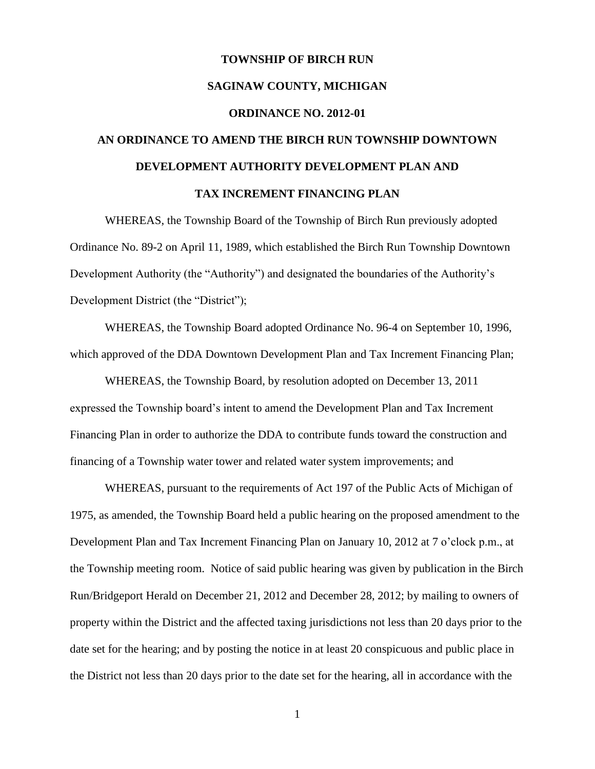# **TOWNSHIP OF BIRCH RUN SAGINAW COUNTY, MICHIGAN ORDINANCE NO. 2012-01 AN ORDINANCE TO AMEND THE BIRCH RUN TOWNSHIP DOWNTOWN DEVELOPMENT AUTHORITY DEVELOPMENT PLAN AND**

#### **TAX INCREMENT FINANCING PLAN**

WHEREAS, the Township Board of the Township of Birch Run previously adopted Ordinance No. 89-2 on April 11, 1989, which established the Birch Run Township Downtown Development Authority (the "Authority") and designated the boundaries of the Authority's Development District (the "District");

WHEREAS, the Township Board adopted Ordinance No. 96-4 on September 10, 1996, which approved of the DDA Downtown Development Plan and Tax Increment Financing Plan;

WHEREAS, the Township Board, by resolution adopted on December 13, 2011 expressed the Township board's intent to amend the Development Plan and Tax Increment Financing Plan in order to authorize the DDA to contribute funds toward the construction and financing of a Township water tower and related water system improvements; and

WHEREAS, pursuant to the requirements of Act 197 of the Public Acts of Michigan of 1975, as amended, the Township Board held a public hearing on the proposed amendment to the Development Plan and Tax Increment Financing Plan on January 10, 2012 at 7 o'clock p.m., at the Township meeting room. Notice of said public hearing was given by publication in the Birch Run/Bridgeport Herald on December 21, 2012 and December 28, 2012; by mailing to owners of property within the District and the affected taxing jurisdictions not less than 20 days prior to the date set for the hearing; and by posting the notice in at least 20 conspicuous and public place in the District not less than 20 days prior to the date set for the hearing, all in accordance with the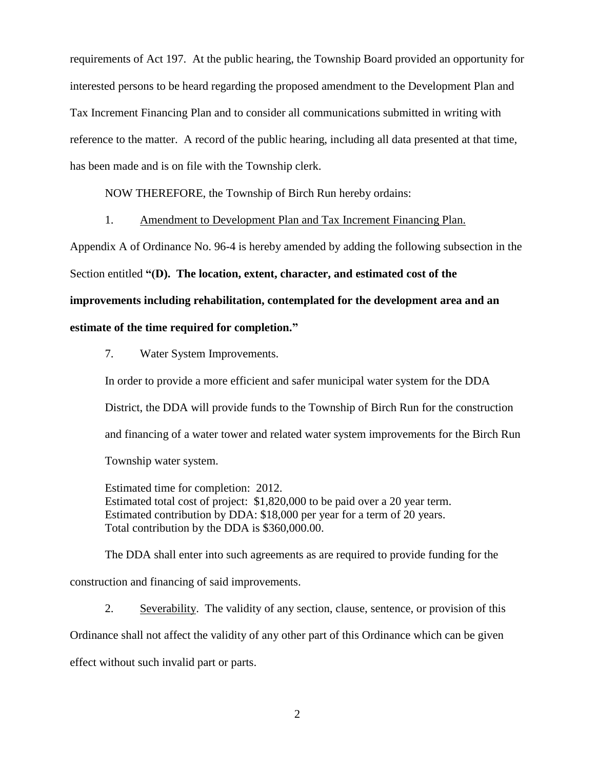requirements of Act 197. At the public hearing, the Township Board provided an opportunity for interested persons to be heard regarding the proposed amendment to the Development Plan and Tax Increment Financing Plan and to consider all communications submitted in writing with reference to the matter. A record of the public hearing, including all data presented at that time, has been made and is on file with the Township clerk.

NOW THEREFORE, the Township of Birch Run hereby ordains:

1. Amendment to Development Plan and Tax Increment Financing Plan.

Appendix A of Ordinance No. 96-4 is hereby amended by adding the following subsection in the

Section entitled **"(D). The location, extent, character, and estimated cost of the** 

**improvements including rehabilitation, contemplated for the development area and an** 

### **estimate of the time required for completion."**

7. Water System Improvements.

In order to provide a more efficient and safer municipal water system for the DDA District, the DDA will provide funds to the Township of Birch Run for the construction and financing of a water tower and related water system improvements for the Birch Run Township water system.

Estimated time for completion: 2012. Estimated total cost of project: \$1,820,000 to be paid over a 20 year term. Estimated contribution by DDA: \$18,000 per year for a term of 20 years. Total contribution by the DDA is \$360,000.00.

The DDA shall enter into such agreements as are required to provide funding for the construction and financing of said improvements.

2. Severability. The validity of any section, clause, sentence, or provision of this Ordinance shall not affect the validity of any other part of this Ordinance which can be given effect without such invalid part or parts.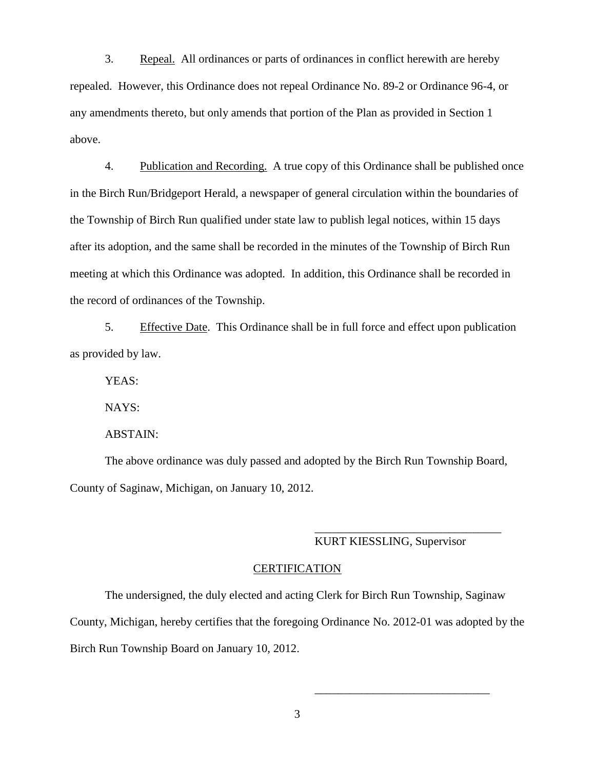3. Repeal. All ordinances or parts of ordinances in conflict herewith are hereby repealed. However, this Ordinance does not repeal Ordinance No. 89-2 or Ordinance 96-4, or any amendments thereto, but only amends that portion of the Plan as provided in Section 1 above.

4. Publication and Recording. A true copy of this Ordinance shall be published once in the Birch Run/Bridgeport Herald, a newspaper of general circulation within the boundaries of the Township of Birch Run qualified under state law to publish legal notices, within 15 days after its adoption, and the same shall be recorded in the minutes of the Township of Birch Run meeting at which this Ordinance was adopted. In addition, this Ordinance shall be recorded in the record of ordinances of the Township.

5. Effective Date. This Ordinance shall be in full force and effect upon publication as provided by law.

YEAS:

NAYS:

ABSTAIN:

The above ordinance was duly passed and adopted by the Birch Run Township Board, County of Saginaw, Michigan, on January 10, 2012.

## KURT KIESSLING, Supervisor

\_\_\_\_\_\_\_\_\_\_\_\_\_\_\_\_\_\_\_\_\_\_\_\_\_\_\_\_\_\_\_\_

\_\_\_\_\_\_\_\_\_\_\_\_\_\_\_\_\_\_\_\_\_\_\_\_\_\_\_\_\_\_

#### CERTIFICATION

The undersigned, the duly elected and acting Clerk for Birch Run Township, Saginaw County, Michigan, hereby certifies that the foregoing Ordinance No. 2012-01 was adopted by the Birch Run Township Board on January 10, 2012.

3